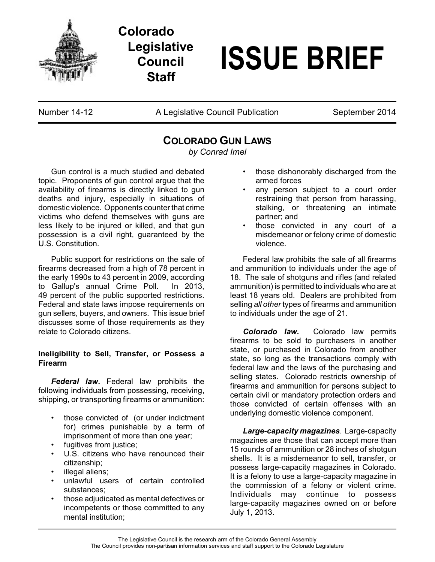

**Colorado Legislative Council Staff**

# **ISSUE BRIEF**

Number 14-12 **A Legislative Council Publication** September 2014

# **COLORADO GUN LAWS**

*by Conrad Imel*

Gun control is a much studied and debated topic. Proponents of gun control argue that the availability of firearms is directly linked to gun deaths and injury, especially in situations of domestic violence. Opponents counter that crime victims who defend themselves with guns are less likely to be injured or killed, and that gun possession is a civil right, guaranteed by the U.S. Constitution.

Public support for restrictions on the sale of firearms decreased from a high of 78 percent in the early 1990s to 43 percent in 2009, according to Gallup's annual Crime Poll. In 2013, 49 percent of the public supported restrictions. Federal and state laws impose requirements on gun sellers, buyers, and owners. This issue brief discusses some of those requirements as they relate to Colorado citizens.

## **Ineligibility to Sell, Transfer, or Possess a Firearm**

*Federal law.* Federal law prohibits the following individuals from possessing, receiving, shipping, or transporting firearms or ammunition:

- those convicted of (or under indictment for) crimes punishable by a term of imprisonment of more than one year;
- fugitives from justice;
- U.S. citizens who have renounced their citizenship;
- illegal aliens;
- unlawful users of certain controlled substances;
- those adjudicated as mental defectives or incompetents or those committed to any mental institution;
- those dishonorably discharged from the armed forces
- any person subject to a court order restraining that person from harassing, stalking, or threatening an intimate partner; and
- those convicted in any court of a misdemeanor or felony crime of domestic violence.

Federal law prohibits the sale of all firearms and ammunition to individuals under the age of 18. The sale of shotguns and rifles (and related ammunition) is permitted to individuals who are at least 18 years old. Dealers are prohibited from selling *all other* types of firearms and ammunition to individuals under the age of 21.

*Colorado law.* Colorado law permits firearms to be sold to purchasers in another state, or purchased in Colorado from another state, so long as the transactions comply with federal law and the laws of the purchasing and selling states. Colorado restricts ownership of firearms and ammunition for persons subject to certain civil or mandatory protection orders and those convicted of certain offenses with an underlying domestic violence component.

*Large-capacity magazines*. Large-capacity magazines are those that can accept more than 15 rounds of ammunition or 28 inches of shotgun shells. It is a misdemeanor to sell, transfer, or possess large-capacity magazines in Colorado. It is a felony to use a large-capacity magazine in the commission of a felony or violent crime. Individuals may continue to possess large-capacity magazines owned on or before July 1, 2013.